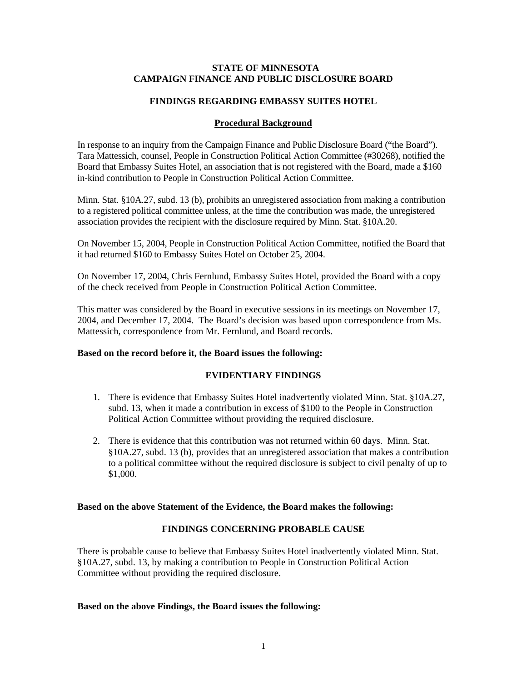# **STATE OF MINNESOTA CAMPAIGN FINANCE AND PUBLIC DISCLOSURE BOARD**

## **FINDINGS REGARDING EMBASSY SUITES HOTEL**

# **Procedural Background**

In response to an inquiry from the Campaign Finance and Public Disclosure Board ("the Board"). Tara Mattessich, counsel, People in Construction Political Action Committee (#30268), notified the Board that Embassy Suites Hotel, an association that is not registered with the Board, made a \$160 in-kind contribution to People in Construction Political Action Committee.

Minn. Stat. §10A.27, subd. 13 (b), prohibits an unregistered association from making a contribution to a registered political committee unless, at the time the contribution was made, the unregistered association provides the recipient with the disclosure required by Minn. Stat. §10A.20.

On November 15, 2004, People in Construction Political Action Committee, notified the Board that it had returned \$160 to Embassy Suites Hotel on October 25, 2004.

On November 17, 2004, Chris Fernlund, Embassy Suites Hotel, provided the Board with a copy of the check received from People in Construction Political Action Committee.

This matter was considered by the Board in executive sessions in its meetings on November 17, 2004, and December 17, 2004. The Board's decision was based upon correspondence from Ms. Mattessich, correspondence from Mr. Fernlund, and Board records.

#### **Based on the record before it, the Board issues the following:**

## **EVIDENTIARY FINDINGS**

- 1. There is evidence that Embassy Suites Hotel inadvertently violated Minn. Stat. §10A.27, subd. 13, when it made a contribution in excess of \$100 to the People in Construction Political Action Committee without providing the required disclosure.
- 2. There is evidence that this contribution was not returned within 60 days. Minn. Stat. §10A.27, subd. 13 (b), provides that an unregistered association that makes a contribution to a political committee without the required disclosure is subject to civil penalty of up to \$1,000.

#### **Based on the above Statement of the Evidence, the Board makes the following:**

# **FINDINGS CONCERNING PROBABLE CAUSE**

There is probable cause to believe that Embassy Suites Hotel inadvertently violated Minn. Stat. §10A.27, subd. 13, by making a contribution to People in Construction Political Action Committee without providing the required disclosure.

# **Based on the above Findings, the Board issues the following:**